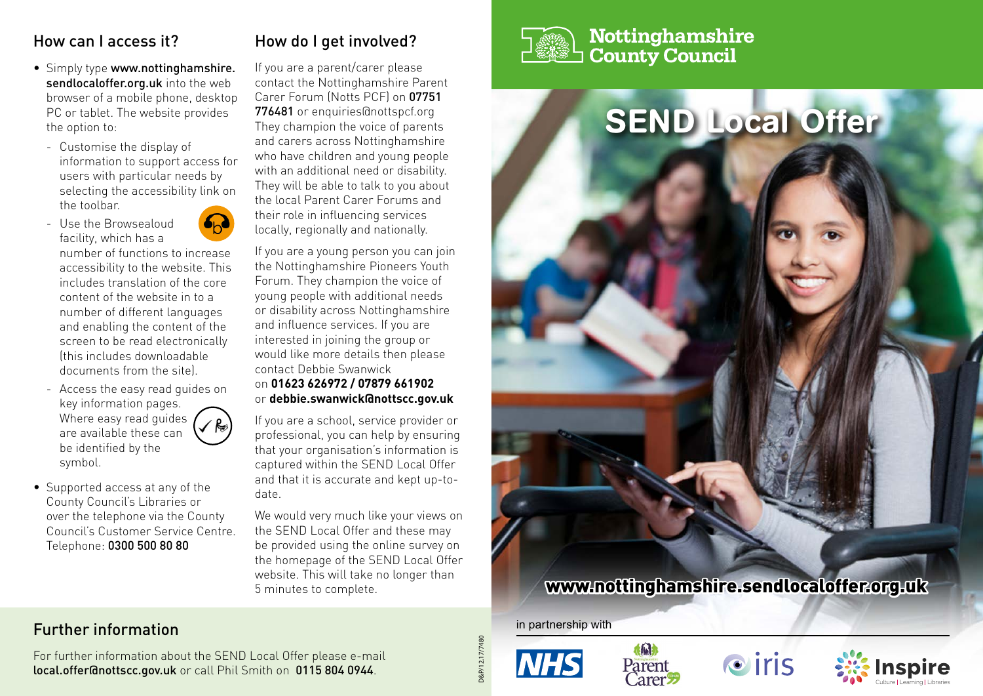### How can I access it?

- Simply type www.nottinghamshire. sendlocaloffer.org.uk into the web browser of a mobile phone, desktop PC or tablet. The website provides the option to:
	- Customise the display of information to support access for users with particular needs by selecting the accessibility link on the toolbar.
	- Use the Browsealoud facility, which has a



number of functions to increase accessibility to the website. This includes translation of the core content of the website in to a number of different languages and enabling the content of the screen to be read electronically (this includes downloadable documents from the site).

- Access the easy read guides on key information pages. Where easy read quides  $\sqrt{R}$ are available these can be identified by the symbol.
- Supported access at any of the County Council's Libraries or over the telephone via the County Council's Customer Service Centre. Telephone: 0300 500 80 80

# How do I get involved?

If you are a parent/carer please contact the Nottinghamshire Parent Carer Forum (Notts PCF) on 07751 776481 or enquiries@nottspcf.org They champion the voice of parents and carers across Nottinghamshire who have children and young people with an additional need or disability. They will be able to talk to you about the local Parent Carer Forums and their role in influencing services locally, regionally and nationally.

If you are a young person you can join the Nottinghamshire Pioneers Youth Forum. They champion the voice of young people with additional needs or disability across Nottinghamshire and influence services. If you are interested in joining the group or would like more details then please contact Debbie Swanwick on **01623 626972 / 07879 661902**

or **debbie.swanwick@nottscc.gov.uk** 

If you are a school, service provider or professional, you can help by ensuring that your organisation's information is captured within the SEND Local Offer and that it is accurate and kept up-todate.

We would very much like your views on the SEND Local Offer and these may be provided using the online survey on the homepage of the SEND Local Offer website. This will take no longer than 5 minutes to complete.



# Nottinghamshire **County Council**



#### in partnership with









### Further information

For further information about the SEND Local Offer please e-mail local.offer@nottscc.gov.uk or call Phil Smith on 0115 804 0944.

D&P/12.17/7480 D&P/12.17/7480